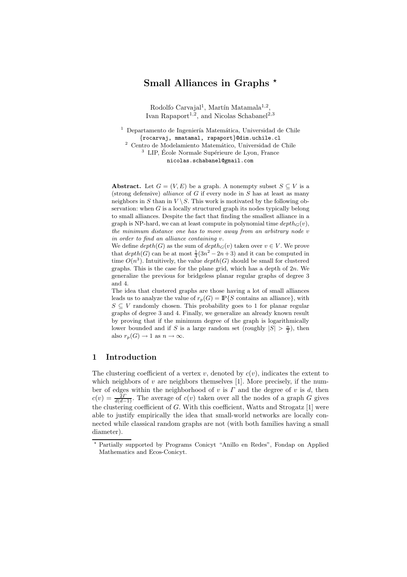# Small Alliances in Graphs  $\star$

Rodolfo Carvajal<sup>1</sup>, Martín Matamala<sup>1,2</sup>, Ivan Rapaport<sup>1,2</sup>, and Nicolas Schabanel<sup>2,3</sup>

 $1$  Departamento de Ingeniería Matemática, Universidad de Chile {rocarvaj, mmatamal, rapaport}@dim.uchile.cl  $^2\,$  Centro de Modelamiento Matemático, Universidad de Chile  $^3\,$  LIP, École Normale Supérieure de Lyon, France nicolas.schabanel@gmail.com

Abstract. Let  $G = (V, E)$  be a graph. A nonempty subset  $S \subseteq V$  is a (strong defensive) alliance of G if every node in S has at least as many neighbors in S than in  $V \setminus S$ . This work is motivated by the following observation: when  $G$  is a locally structured graph its nodes typically belong to small alliances. Despite the fact that finding the smallest alliance in a graph is NP-hard, we can at least compute in polynomial time  $depth_G(v)$ , the minimum distance one has to move away from an arbitrary node v in order to find an alliance containing v.

We define  $depth(G)$  as the sum of  $depth_G(v)$  taken over  $v \in V$ . We prove that  $depth(G)$  can be at most  $\frac{1}{4}(3n^2 - 2n + 3)$  and it can be computed in time  $O(n^3)$ . Intuitively, the value  $depth(G)$  should be small for clustered graphs. This is the case for the plane grid, which has a depth of  $2n$ . We generalize the previous for bridgeless planar regular graphs of degree 3 and 4.

The idea that clustered graphs are those having a lot of small alliances leads us to analyze the value of  $r_p(G) = \mathbb{P}\{S \text{ contains an alliance}\}\,$ , with  $S \subseteq V$  randomly chosen. This probability goes to 1 for planar regular graphs of degree 3 and 4. Finally, we generalize an already known result by proving that if the minimum degree of the graph is logarithmically lower bounded and if S is a large random set (roughly  $|S| > \frac{n}{2}$ ), then also  $r_p(G) \to 1$  as  $n \to \infty$ .

#### 1 Introduction

The clustering coefficient of a vertex v, denoted by  $c(v)$ , indicates the extent to which neighbors of  $v$  are neighbors themselves [1]. More precisely, if the number of edges within the neighborhood of v is  $\Gamma$  and the degree of v is d, then  $c(v) = \frac{2\Gamma}{d(d-1)}$ . The average of  $c(v)$  taken over all the nodes of a graph G gives the clustering coefficient of  $G$ . With this coefficient, Watts and Strogatz [1] were able to justify empirically the idea that small-world networks are locally connected while classical random graphs are not (with both families having a small diameter).

<sup>⋆</sup> Partially supported by Programs Conicyt "Anillo en Redes", Fondap on Applied Mathematics and Ecos-Conicyt.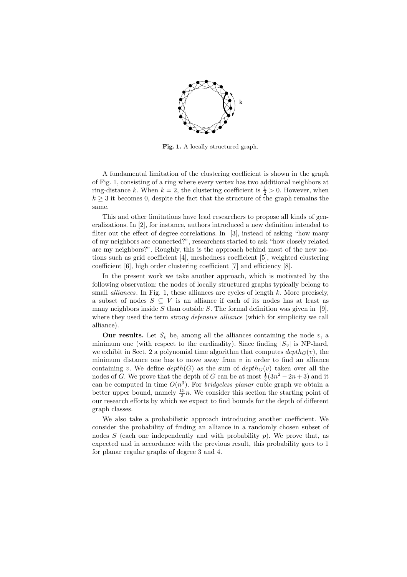

Fig. 1. A locally structured graph.

A fundamental limitation of the clustering coefficient is shown in the graph of Fig. 1, consisting of a ring where every vertex has two additional neighbors at ring-distance k. When  $k = 2$ , the clustering coefficient is  $\frac{1}{2} > 0$ . However, when  $k \geq 3$  it becomes 0, despite the fact that the structure of the graph remains the same.

This and other limitations have lead researchers to propose all kinds of generalizations. In [2], for instance, authors introduced a new definition intended to filter out the effect of degree correlations. In [3], instead of asking "how many of my neighbors are connected?", researchers started to ask "how closely related are my neighbors?". Roughly, this is the approach behind most of the new notions such as grid coefficient [4], meshedness coefficient [5], weighted clustering coefficient [6], high order clustering coefficient [7] and efficiency [8].

In the present work we take another approach, which is motivated by the following observation: the nodes of locally structured graphs typically belong to small *alliances*. In Fig. 1, these alliances are cycles of length  $k$ . More precisely, a subset of nodes  $S \subseteq V$  is an alliance if each of its nodes has at least as many neighbors inside S than outside S. The formal definition was given in [9], where they used the term *strong defensive alliance* (which for simplicity we call alliance).

**Our results.** Let  $S_v$  be, among all the alliances containing the node v, a minimum one (with respect to the cardinality). Since finding  $|S_v|$  is NP-hard, we exhibit in Sect. 2 a polynomial time algorithm that computes  $depth_G(v)$ , the minimum distance one has to move away from  $v$  in order to find an alliance containing v. We define  $depth(G)$  as the sum of  $depth_G(v)$  taken over all the nodes of G. We prove that the depth of G can be at most  $\frac{1}{4}(3n^2 - 2n + 3)$  and it can be computed in time  $O(n^3)$ . For *bridgeless planar* cubic graph we obtain a better upper bound, namely  $\frac{15}{2}n$ . We consider this section the starting point of our research efforts by which we expect to find bounds for the depth of different graph classes.

We also take a probabilistic approach introducing another coefficient. We consider the probability of finding an alliance in a randomly chosen subset of nodes S (each one independently and with probability  $p$ ). We prove that, as expected and in accordance with the previous result, this probability goes to 1 for planar regular graphs of degree 3 and 4.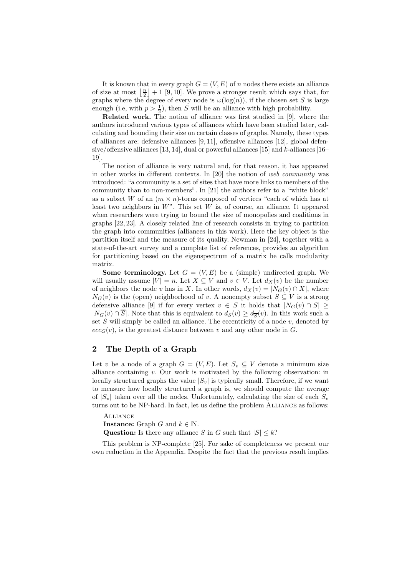It is known that in every graph  $G = (V, E)$  of n nodes there exists an alliance of size at most  $\lfloor \frac{n}{2} \rfloor + 1$  [9, 10]. We prove a stronger result which says that, for graphs where the degree of every node is  $\omega(\log(n))$ , if the chosen set S is large enough (i.e, with  $p > \frac{1}{2}$ ), then S will be an alliance with high probability.

Related work. The notion of alliance was first studied in [9], where the authors introduced various types of alliances which have been studied later, calculating and bounding their size on certain classes of graphs. Namely, these types of alliances are: defensive alliances [9, 11], offensive alliances [12], global defensive/offensive alliances  $[13, 14]$ , dual or powerful alliances  $[15]$  and k-alliances  $[16-$ 19].

The notion of alliance is very natural and, for that reason, it has appeared in other works in different contexts. In [20] the notion of web community was introduced: "a community is a set of sites that have more links to members of the community than to non-members". In [21] the authors refer to a "white block" as a subset W of an  $(m \times n)$ -torus composed of vertices "each of which has at least two neighbors in  $W$ ". This set  $W$  is, of course, an alliance. It appeared when researchers were trying to bound the size of monopolies and coalitions in graphs [22, 23]. A closely related line of research consists in trying to partition the graph into communities (alliances in this work). Here the key object is the partition itself and the measure of its quality. Newman in [24], together with a state-of-the-art survey and a complete list of references, provides an algorithm for partitioning based on the eigenspectrum of a matrix he calls modularity matrix.

**Some terminology.** Let  $G = (V, E)$  be a (simple) undirected graph. We will usually assume  $|V| = n$ . Let  $X \subseteq V$  and  $v \in V$ . Let  $d_X(v)$  be the number of neighbors the node v has in X. In other words,  $d_X(v) = |N_G(v) \cap X|$ , where  $N_G(v)$  is the (open) neighborhood of v. A nonempty subset  $S \subseteq V$  is a strong defensive alliance [9] if for every vertex  $v \in S$  it holds that  $|N_G(v) \cap S|$  $|N_G(v) \cap S|$ . Note that this is equivalent to  $d_S(v) \geq d_{\overline{S}}(v)$ . In this work such a set  $S$  will simply be called an alliance. The eccentricity of a node  $v$ , denoted by  $ecc<sub>G</sub>(v)$ , is the greatest distance between v and any other node in G.

#### 2 The Depth of a Graph

Let v be a node of a graph  $G = (V, E)$ . Let  $S_v \subseteq V$  denote a minimum size alliance containing  $v$ . Our work is motivated by the following observation: in locally structured graphs the value  $|S_v|$  is typically small. Therefore, if we want to measure how locally structured a graph is, we should compute the average of  $|S_v|$  taken over all the nodes. Unfortunately, calculating the size of each  $S_v$ turns out to be NP-hard. In fact, let us define the problem Alliance as follows:

**ALLIANCE** 

**Instance:** Graph G and  $k \in \mathbb{N}$ .

**Question:** Is there any alliance S in G such that  $|S| \leq k$ ?

This problem is NP-complete [25]. For sake of completeness we present our own reduction in the Appendix. Despite the fact that the previous result implies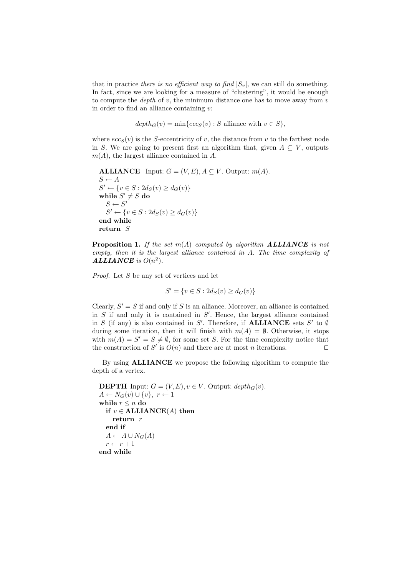that in practice there is no efficient way to find  $|S_v|$ , we can still do something. In fact, since we are looking for a measure of "clustering", it would be enough to compute the *depth* of  $v$ , the minimum distance one has to move away from  $v$ in order to find an alliance containing  $v$ :

$$
depth_G(v) = min\{ecc_S(v) : S \text{ alliance with } v \in S\},\
$$

where  $ecc<sub>S</sub>(v)$  is the S-eccentricity of v, the distance from v to the farthest node in S. We are going to present first an algorithm that, given  $A \subseteq V$ , outputs  $m(A)$ , the largest alliance contained in A.

```
ALLIANCE Input: G = (V, E), A \subseteq V. Output: m(A).
S \leftarrow AS' \leftarrow \{v \in S : 2d_S(v) \geq d_G(v)\}while S' \neq S do
   S \leftarrow S'S' \leftarrow \{v \in S : 2d_S(v) \geq d_G(v)\}end while
return S
```
**Proposition 1.** If the set  $m(A)$  computed by algorithm **ALLIANCE** is not empty, then it is the largest alliance contained in A. The time complexity of ALLIANCE is  $O(n^2)$ .

Proof. Let S be any set of vertices and let

$$
S' = \{ v \in S : 2d_S(v) \ge d_G(v) \}
$$

Clearly,  $S' = S$  if and only if S is an alliance. Moreover, an alliance is contained in  $S$  if and only it is contained in  $S'$ . Hence, the largest alliance contained in S (if any) is also contained in S'. Therefore, if **ALLIANCE** sets S' to Ø during some iteration, then it will finish with  $m(A) = \emptyset$ . Otherwise, it stops with  $m(A) = S' = S \neq \emptyset$ , for some set S. For the time complexity notice that the construction of S' is  $O(n)$  and there are at most n iterations. □

By using ALLIANCE we propose the following algorithm to compute the depth of a vertex.

```
DEPTH Input: G = (V, E), v \in V. Output: depth_G(v).
A \leftarrow N_G(v) \cup \{v\}, r \leftarrow 1while r \leq n do
  if v \in \text{ALLIANCE}(A) then
     return r
  end if
  A \leftarrow A \cup N_G(A)r \leftarrow r + 1end while
```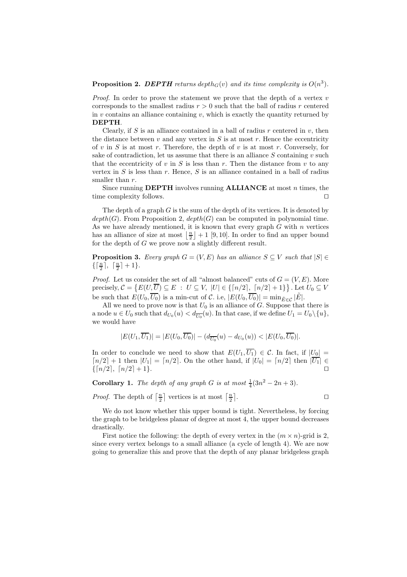## **Proposition 2. DEPTH** returns depth<sub> $G(v)$ </sub> and its time complexity is  $O(n^3)$ .

*Proof.* In order to prove the statement we prove that the depth of a vertex  $v$ corresponds to the smallest radius  $r > 0$  such that the ball of radius r centered in  $v$  contains an alliance containing  $v$ , which is exactly the quantity returned by DEPTH.

Clearly, if S is an alliance contained in a ball of radius  $r$  centered in  $v$ , then the distance between  $v$  and any vertex in  $S$  is at most  $r$ . Hence the eccentricity of v in S is at most r. Therefore, the depth of v is at most r. Conversely, for sake of contradiction, let us assume that there is an alliance  $S$  containing  $v$  such that the eccentricity of v in S is less than r. Then the distance from v to any vertex in  $S$  is less than  $r$ . Hence,  $S$  is an alliance contained in a ball of radius smaller than r.

Since running **DEPTH** involves running **ALLIANCE** at most  $n$  times, the time complexity follows. □

The depth of a graph  $G$  is the sum of the depth of its vertices. It is denoted by  $depth(G)$ . From Proposition 2,  $depth(G)$  can be computed in polynomial time. As we have already mentioned, it is known that every graph  $G$  with  $n$  vertices has an alliance of size at most  $\left\lfloor \frac{n}{2} \right\rfloor + 1$  [9, 10]. In order to find an upper bound for the depth of  $G$  we prove now a slightly different result.

**Proposition 3.** Every graph  $G = (V, E)$  has an alliance  $S \subseteq V$  such that  $|S| \in$  $\{\lceil \frac{n}{2} \rceil,\ \lceil \frac{n}{2} \rceil+1\}.$ 

*Proof.* Let us consider the set of all "almost balanced" cuts of  $G = (V, E)$ . More precisely,  $C = \{E(U, \overline{U}) \subseteq E : U \subseteq V, |U| \in \{\lceil n/2 \rceil, \lceil n/2 \rceil + 1\}\}\.$  Let  $U_0 \subseteq V$ be such that  $E(U_0, \overline{U_0})$  is a min-cut of C. i.e,  $|E(U_0, \overline{U_0})| = \min_{\tilde{E} \in \mathcal{C}} |\tilde{E}|$ .

All we need to prove now is that  $U_0$  is an alliance of G. Suppose that there is a node  $u \in U_0$  such that  $d_{U_0}(u) < d_{\overline{U_0}}(u)$ . In that case, if we define  $U_1 = U_0 \setminus \{u\}$ , we would have

$$
|E(U_1,\overline{U_1})|=|E(U_0,\overline{U_0})|-(d_{\overline{U_0}}(u)-d_{U_0}(u))<|E(U_0,\overline{U_0})|.
$$

In order to conclude we need to show that  $E(U_1,\overline{U_1}) \in \mathcal{C}$ . In fact, if  $|U_0| =$  $\lceil n/2 \rceil + 1$  then  $|U_1| = \lceil n/2 \rceil$ . On the other hand, if  $|U_0| = \lceil n/2 \rceil$  then  $|\overline{U_1}| \in$  $\{\lceil n/2 \rceil, \lceil n/2 \rceil + 1\}.$ 

**Corollary 1.** The depth of any graph G is at most  $\frac{1}{4}(3n^2 - 2n + 3)$ .

*Proof.* The depth of  $\left\lceil \frac{n}{2} \right\rceil$  vertices is at most  $\left\lceil \frac{n}{2} \right\rceil$ 

. ⊓⊔

We do not know whether this upper bound is tight. Nevertheless, by forcing the graph to be bridgeless planar of degree at most 4, the upper bound decreases drastically.

First notice the following: the depth of every vertex in the  $(m \times n)$ -grid is 2, since every vertex belongs to a small alliance (a cycle of length 4). We are now going to generalize this and prove that the depth of any planar bridgeless graph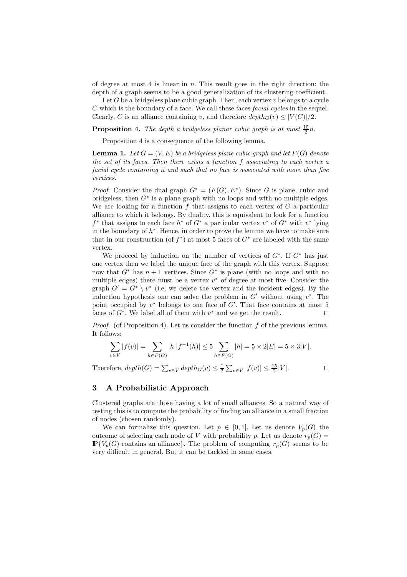of degree at most  $4$  is linear in  $n$ . This result goes in the right direction: the depth of a graph seems to be a good generalization of its clustering coefficient.

Let  $G$  be a bridgeless plane cubic graph. Then, each vertex  $v$  belongs to a cycle  $C$  which is the boundary of a face. We call these faces *facial cycles* in the sequel. Clearly, C is an alliance containing v, and therefore  $depth_G(v) \leq |V(C)|/2$ .

**Proposition 4.** The depth a bridgeless planar cubic graph is at most  $\frac{15}{2}n$ .

Proposition 4 is a consequence of the following lemma.

**Lemma 1.** Let  $G = (V, E)$  be a bridgeless plane cubic graph and let  $F(G)$  denote the set of its faces. Then there exists a function f associating to each vertex a facial cycle containing it and such that no face is associated with more than five vertices.

*Proof.* Consider the dual graph  $G^* = (F(G), E^*)$ . Since G is plane, cubic and bridgeless, then  $G^*$  is a plane graph with no loops and with no multiple edges. We are looking for a function  $f$  that assigns to each vertex of  $G$  a particular alliance to which it belongs. By duality, this is equivalent to look for a function  $f^*$  that assigns to each face  $h^*$  of  $G^*$  a particular vertex  $v^*$  of  $G^*$  with  $v^*$  lying in the boundary of  $h^*$ . Hence, in order to prove the lemma we have to make sure that in our construction (of  $f^*$ ) at most 5 faces of  $G^*$  are labeled with the same vertex.

We proceed by induction on the number of vertices of  $G^*$ . If  $G^*$  has just one vertex then we label the unique face of the graph with this vertex. Suppose now that  $G^*$  has  $n + 1$  vertices. Since  $G^*$  is plane (with no loops and with no multiple edges) there must be a vertex  $v^*$  of degree at most five. Consider the graph  $G' = G^* \setminus v^*$  (i.e, we delete the vertex and the incident edges). By the induction hypothesis one can solve the problem in  $G'$  without using  $v^*$ . The point occupied by  $v^*$  belongs to one face of  $G'$ . That face contains at most 5 faces of  $G^*$ . We label all of them with  $v^*$  and we get the result. □

*Proof.* (of Proposition 4). Let us consider the function  $f$  of the previous lemma. It follows:

$$
\sum_{v \in V} |f(v)| = \sum_{h \in F(G)} |h||f^{-1}(h)| \le 5 \sum_{h \in F(G)} |h| = 5 \times 2|E| = 5 \times 3|V|.
$$

Therefore,  $depth(G) = \sum_{v \in V} depth_G(v) \leq \frac{1}{2} \sum_{v \in V} |f(v)| \leq \frac{15}{2}|V|$ .

#### 3 A Probabilistic Approach

Clustered graphs are those having a lot of small alliances. So a natural way of testing this is to compute the probability of finding an alliance in a small fraction of nodes (chosen randomly).

We can formalize this question. Let  $p \in [0,1]$ . Let us denote  $V_p(G)$  the outcome of selecting each node of V with probability p. Let us denote  $r_p(G)$  =  $\mathbb{P}\{V_p(G) \text{ contains an alliance}\}\.$  The problem of computing  $r_p(G)$  seems to be very difficult in general. But it can be tackled in some cases.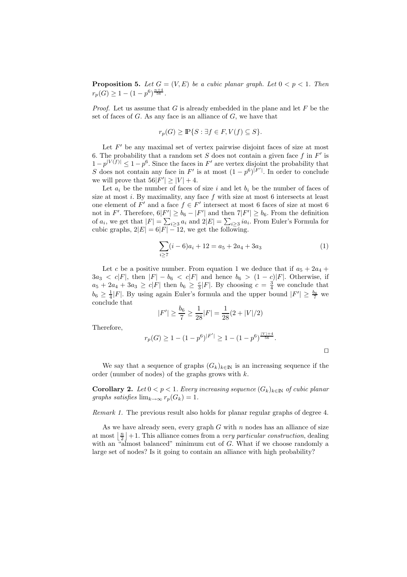**Proposition 5.** Let  $G = (V, E)$  be a cubic planar graph. Let  $0 < p < 1$ . Then  $r_p(G) \geq 1 - (1-p^6)^{\frac{n+4}{56}}.$ 

*Proof.* Let us assume that  $G$  is already embedded in the plane and let  $F$  be the set of faces of  $G$ . As any face is an alliance of  $G$ , we have that

$$
r_p(G) \ge \mathbb{P}\{S : \exists f \in F, V(f) \subseteq S\}.
$$

Let  $F'$  be any maximal set of vertex pairwise disjoint faces of size at most 6. The probability that a random set  $S$  does not contain a given face  $f$  in  $F'$  is  $1-p^{|V(f)|} \leq 1-p^6$ . Since the faces in F' are vertex disjoint the probability that S does not contain any face in  $F'$  is at most  $(1-p^6)^{|F'|}$ . In order to conclude we will prove that  $56|F'| \ge |V| + 4$ .

Let  $a_i$  be the number of faces of size i and let  $b_i$  be the number of faces of size at most  $i$ . By maximality, any face  $f$  with size at most  $6$  intersects at least one element of  $F'$  and a face  $f \in F'$  intersect at most 6 faces of size at most 6 not in F'. Therefore,  $6|F'|\geq b_6-|F'|$  and then  $7|F'|\geq b_6$ . From the definition of  $a_i$ , we get that  $|F| = \sum_{i \geq 3} a_i$  and  $2|E| = \sum_{i \geq 3} i a_i$ . From Euler's Formula for cubic graphs,  $2|E| = 6|F| - 12$ , we get the following.

$$
\sum_{i\geq 7} (i-6)a_i + 12 = a_5 + 2a_4 + 3a_3\tag{1}
$$

Let c be a positive number. From equation 1 we deduce that if  $a_5 + 2a_4 +$  $3a_3 < c|F|$ , then  $|F| - b_6 < c|F|$  and hence  $b_6 > (1 - c)|F|$ . Otherwise, if  $a_5 + 2a_4 + 3a_3 \ge c|F|$  then  $b_6 \ge \frac{c}{3}|F|$ . By choosing  $c = \frac{3}{4}$  we conclude that  $b_6 \geq \frac{1}{4}|F|$ . By using again Euler's formula and the upper bound  $|F'| \geq \frac{b_6}{7}$  we conclude that

$$
|F'| \ge \frac{b_6}{7} \ge \frac{1}{28}|F| = \frac{1}{28}(2 + |V|/2)
$$

Therefore,

$$
r_p(G) \ge 1 - (1 - p^6)^{|F'|} \ge 1 - (1 - p^6)^{\frac{|V| + 4}{56}}.
$$

We say that a sequence of graphs  $(G_k)_{k\in\mathbb{N}}$  is an increasing sequence if the order (number of nodes) of the graphs grows with  $k$ .

**Corollary 2.** Let  $0 < p < 1$ . Every increasing sequence  $(G_k)_{k \in \mathbb{N}}$  of cubic planar graphs satisfies  $\lim_{k\to\infty} r_p(G_k) = 1$ .

Remark 1. The previous result also holds for planar regular graphs of degree 4.

As we have already seen, every graph  $G$  with  $n$  nodes has an alliance of size at most  $\lfloor \frac{n}{2} \rfloor + 1$ . This alliance comes from a *very particular construction*, dealing with an "almost balanced" minimum cut of G. What if we choose randomly a large set of nodes? Is it going to contain an alliance with high probability?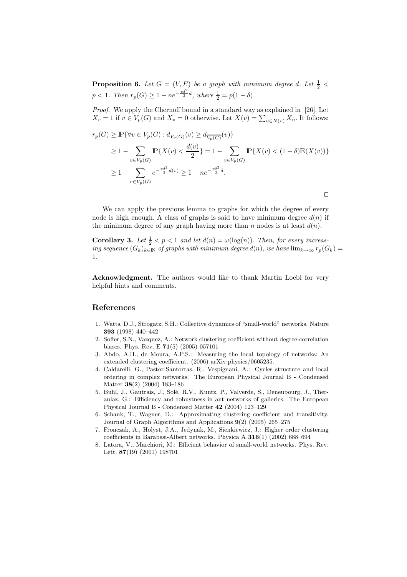**Proposition 6.** Let  $G = (V, E)$  be a graph with minimum degree d. Let  $\frac{1}{2}$  <  $p < 1$ . Then  $r_p(G) \geq 1 - ne^{-\frac{p\delta^2}{2}d}$ , where  $\frac{1}{2} = p(1 - \delta)$ .

Proof. We apply the Chernoff bound in a standard way as explained in [26]. Let  $X_v = 1$  if  $v \in V_p(G)$  and  $X_v = 0$  otherwise. Let  $X(v) = \sum_{u \in N(v)} X_u$ . It follows:

$$
r_p(G) \ge \mathbb{P}\{\forall v \in V_p(G) : d_{V_p(G)}(v) \ge d_{\overline{V_p(G)}}(v)\}
$$
  
\n
$$
\ge 1 - \sum_{v \in V_p(G)} \mathbb{P}\{X(v) < \frac{d(v)}{2}\} = 1 - \sum_{v \in V_p(G)} \mathbb{P}\{X(v) < (1 - \delta)\mathbb{E}(X(v))\}
$$
  
\n
$$
\ge 1 - \sum_{v \in V_p(G)} e^{-\frac{p\delta^2}{2}d(v)} \ge 1 - n e^{-\frac{p\delta^2}{2}d}.
$$

We can apply the previous lemma to graphs for which the degree of every node is high enough. A class of graphs is said to have minimum degree  $d(n)$  if the minimum degree of any graph having more than n nodes is at least  $d(n)$ .

**Corollary 3.** Let  $\frac{1}{2} < p < 1$  and let  $d(n) = \omega(\log(n))$ . Then, for every increasing sequence  $(G_k)_{k\in\mathbb{N}}$  of graphs with minimum degree  $d(n)$ , we have  $\lim_{k\to\infty} r_p(G_k)$ 1.

⊓⊔

Acknowledgment. The authors would like to thank Martin Loebl for very helpful hints and comments.

#### References

- 1. Watts, D.J., Strogatz, S.H.: Collective dynamics of "small-world" networks. Nature 393 (1998) 440–442
- 2. Soffer, S.N., Vazquez, A.: Network clustering coefficient without degree-correlation biases. Phys. Rev. E 71(5) (2005) 057101
- 3. Abdo, A.H., de Moura, A.P.S.: Measuring the local topology of networks: An extended clustering coefficient. (2006) arXiv:physics/0605235.
- 4. Caldarelli, G., Pastor-Santorras, R., Vespignani, A.: Cycles structure and local ordering in complex networks. The European Physical Journal B - Condensed Matter 38(2) (2004) 183–186
- 5. Buhl, J., Gautrais, J., Solé, R.V., Kuntz, P., Valverde, S., Deneubourg, J., Theraulaz, G.: Efficiency and robustness in ant networks of galleries. The European Physical Journal B - Condensed Matter 42 (2004) 123–129
- 6. Schank, T., Wagner, D.: Approximating clustering coefficient and transitivity. Journal of Graph Algorithms and Applications 9(2) (2005) 265–275
- 7. Fronczak, A., Holyst, J.A., Jedynak, M., Sienkiewicz, J.: Higher order clustering coefficients in Barabasi-Albert networks. Physica A 316(1) (2002) 688–694
- 8. Latora, V., Marchiori, M.: Efficient behavior of small-world networks. Phys. Rev. Lett. 87(19) (2001) 198701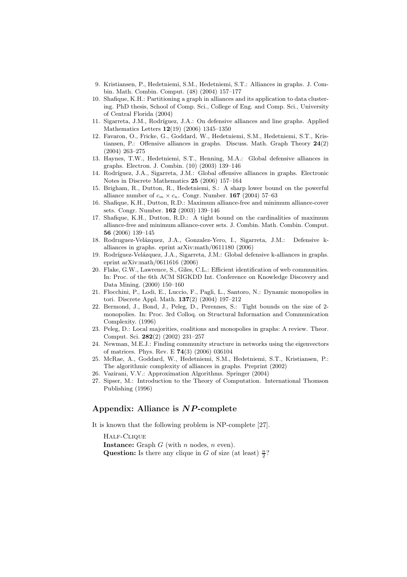- 9. Kristiansen, P., Hedetniemi, S.M., Hedetniemi, S.T.: Alliances in graphs. J. Combin. Math. Combin. Comput. (48) (2004) 157–177
- 10. Shafique, K.H.: Partitioning a graph in alliances and its application to data clustering. PhD thesis, School of Comp. Sci., College of Eng. and Comp. Sci., University of Central Florida (2004)
- 11. Sigarreta, J.M., Rodríguez, J.A.: On defensive alliances and line graphs. Applied Mathematics Letters 12(19) (2006) 1345–1350
- 12. Favaron, O., Fricke, G., Goddard, W., Hedetniemi, S.M., Hedetniemi, S.T., Kristiansen, P.: Offensive alliances in graphs. Discuss. Math. Graph Theory 24(2) (2004) 263–275
- 13. Haynes, T.W., Hedetniemi, S.T., Henning, M.A.: Global defensive alliances in graphs. Electron. J. Combin. (10) (2003) 139–146
- 14. Rodríguez, J.A., Sigarreta, J.M.: Global offensive alliances in graphs. Electronic Notes in Discrete Mathematics 25 (2006) 157–164
- 15. Brigham, R., Dutton, R., Hedetniemi, S.: A sharp lower bound on the powerful alliance number of  $c_m \times c_n$ . Congr. Number. **167** (2004) 57–63
- 16. Shafique, K.H., Dutton, R.D.: Maximum alliance-free and minimum alliance-cover sets. Congr. Number. 162 (2003) 139–146
- 17. Shafique, K.H., Dutton, R.D.: A tight bound on the cardinalities of maximum alliance-free and minimum alliance-cover sets. J. Combin. Math. Combin. Comput. 56 (2006) 139–145
- 18. Rodruguez-Velázquez, J.A., Gonzalez-Yero, I., Sigarreta, J.M.: Defensive kalliances in graphs. eprint arXiv:math/0611180 (2006)
- 19. Rodríguez-Velázquez, J.A., Sigarreta, J.M.: Global defensive k-alliances in graphs. eprint arXiv:math/0611616 (2006)
- 20. Flake, G.W., Lawrence, S., Giles, C.L.: Efficient identification of web communities. In: Proc. of the 6th ACM SIGKDD Int. Conference on Knowledge Discovery and Data Mining. (2000) 150–160
- 21. Flocchini, P., Lodi, E., Luccio, F., Pagli, L., Santoro, N.: Dynamic monopolies in tori. Discrete Appl. Math. 137(2) (2004) 197–212
- 22. Bermond, J., Bond, J., Peleg, D., Perennes, S.: Tight bounds on the size of 2 monopolies. In: Proc. 3rd Colloq. on Structural Information and Communication Complexity. (1996)
- 23. Peleg, D.: Local majorities, coalitions and monopolies in graphs: A review. Theor. Comput. Sci. 282(2) (2002) 231–257
- 24. Newman, M.E.J.: Finding community structure in networks using the eigenvectors of matrices. Phys. Rev. E 74(3) (2006) 036104
- 25. McRae, A., Goddard, W., Hedetniemi, S.M., Hedetniemi, S.T., Kristiansen, P.: The algorithmic complexity of alliances in graphs. Preprint (2002)
- 26. Vazirani, V.V.: Approximation Algorithms. Springer (2004)
- 27. Sipser, M.: Introduction to the Theory of Computation. International Thomson Publishing (1996)

### Appendix: Alliance is  $NP$ -complete

It is known that the following problem is NP-complete [27].

Half-Clique **Instance:** Graph  $G$  (with  $n$  nodes,  $n$  even). **Question:** Is there any clique in G of size (at least)  $\frac{n}{2}$ ?